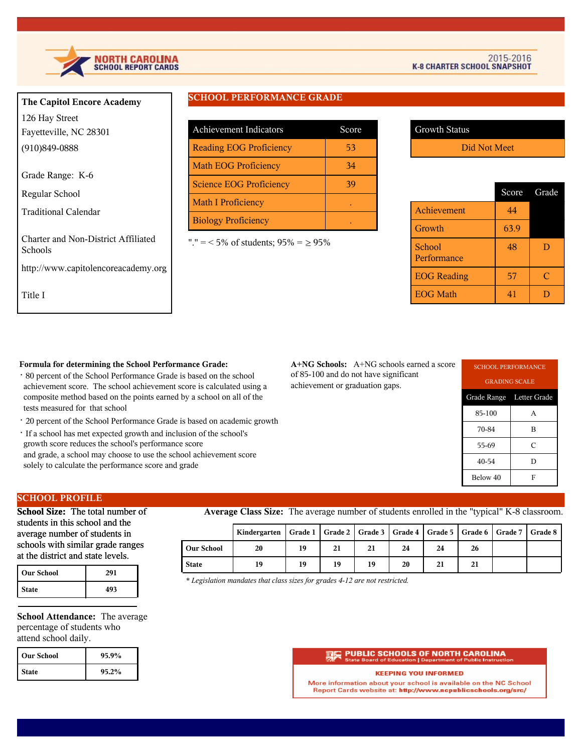

| <b>The Capitol Encore Academy</b>              |
|------------------------------------------------|
| 126 Hay Street                                 |
| Fayetteville, NC 28301                         |
| $(910)849-0888$                                |
|                                                |
| Grade Range: K-6                               |
| Regular School                                 |
| Traditional Calendar                           |
|                                                |
| Charter and Non-District Affiliated<br>Schools |
| http://www.capitolencoreacademy.org            |
| Title I                                        |

# **SCHOOL PERFORMANCE GRADE**

| <b>Achievement Indicators</b>  | Score |
|--------------------------------|-------|
| <b>Reading EOG Proficiency</b> | 53    |
| <b>Math EOG Proficiency</b>    | 34    |
| <b>Science EOG Proficiency</b> | 39    |
| <b>Math I Proficiency</b>      |       |
| <b>Biology Proficiency</b>     |       |

"." = < 5% of students;  $95\% = \ge 95\%$ 

| Growth Status |  |
|---------------|--|
| Did Not Meet  |  |

|                       | Score | Grade |
|-----------------------|-------|-------|
| <b>Achievement</b>    | 44    |       |
| Growth                | 63.9  |       |
| School<br>Performance | 48    | Ð     |
| <b>EOG</b> Reading    | 57    | C     |
| <b>EOG</b> Math       | 41    |       |

### **Formula for determining the School Performance Grade:**

- · 80 percent of the School Performance Grade is based on the school achievement score. The school achievement score is calculated using a composite method based on the points earned by a school on all of the tests measured for that school
- · 20 percent of the School Performance Grade is based on academic growth
- · If a school has met expected growth and inclusion of the school's growth score reduces the school's performance score and grade, a school may choose to use the school achievement score solely to calculate the performance score and grade

**A+NG Schools:** A+NG schools earned a score of 85-100 and do not have significant achievement or graduation gaps.

| <b>SCHOOL PERFORMANCE</b> |   |  |  |
|---------------------------|---|--|--|
| <b>GRADING SCALE</b>      |   |  |  |
| Grade Range Letter Grade  |   |  |  |
| 85-100                    | A |  |  |
| 70-84                     | в |  |  |
| 55-69                     | C |  |  |
| 40-54                     | D |  |  |
| Below 40                  | F |  |  |

# **SCHOOL PROFILE**

**School Size:** The total number of students in this school and the average number of students in schools with similar grade ranges at the district and state levels.

| <b>Our School</b> | 291 |
|-------------------|-----|
| <b>State</b>      | 493 |

**School Attendance:** The average percentage of students who attend school daily.

| l Our School | 95.9%    |
|--------------|----------|
| <b>State</b> | $95.2\%$ |

**Average Class Size:** The average number of students enrolled in the "typical" K-8 classroom.

|                   | Kindergarten   Grade 1   Grade 2   Grade 3   Grade 4   Grade 5   Grade 6   Grade 7   Grade 8 |    |    |    |    |    |    |  |
|-------------------|----------------------------------------------------------------------------------------------|----|----|----|----|----|----|--|
| <b>Our School</b> | 20                                                                                           | 19 | 21 | 21 | 24 | 24 | 26 |  |
| <b>State</b>      | 19                                                                                           | 19 | 19 | 19 | 20 | 21 | 21 |  |

*\* Legislation mandates that class sizes for grades 4-12 are not restricted.*

### PUBLIC SCHOOLS OF NORTH CAROLINA

#### **KEEPING YOU INFORMED**

More information about your school is available on the NC School Report Cards website at: http://www.ncpublicschools.org/src/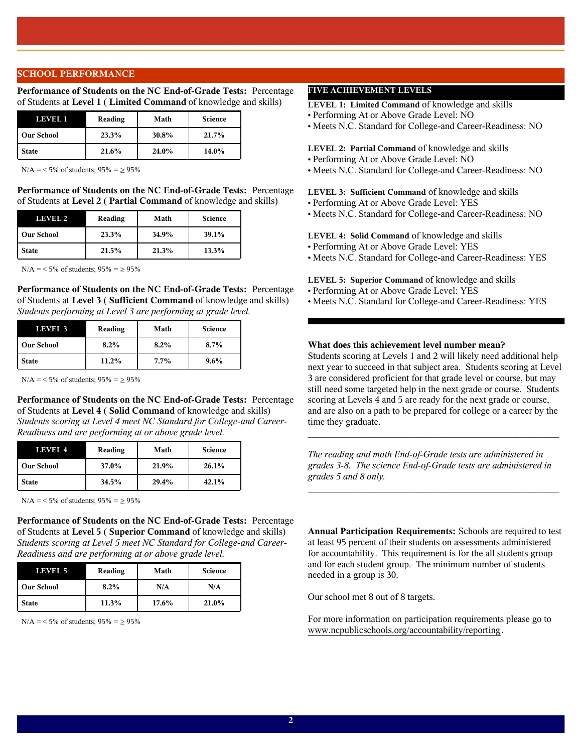### **SCHOOL PERFORMANCE**

**Performance of Students on the NC End-of-Grade Tests:** Percentage of Students at **Level 1** ( **Limited Command** of knowledge and skills)

| LEVEL 1           | Reading | Math  | <b>Science</b> |
|-------------------|---------|-------|----------------|
| <b>Our School</b> | 23.3%   | 30.8% | 21.7%          |
| <b>State</b>      | 21.6%   | 24.0% | 14.0%          |

 $N/A = 5\%$  of students;  $95\% = \ge 95\%$ 

**Performance of Students on the NC End-of-Grade Tests:** Percentage of Students at **Level 2** ( **Partial Command** of knowledge and skills)

| LEVEL 2           | Reading | Math  | <b>Science</b> |
|-------------------|---------|-------|----------------|
| <b>Our School</b> | 23.3%   | 34.9% | 39.1%          |
| <b>State</b>      | 21.5%   | 21.3% | 13.3%          |

 $N/A = 5\%$  of students;  $95\% = \geq 95\%$ 

**Performance of Students on the NC End-of-Grade Tests:** Percentage of Students at **Level 3** ( **Sufficient Command** of knowledge and skills) *Students performing at Level 3 are performing at grade level.*

| LEVEL 3           | Reading | Math    | <b>Science</b> |
|-------------------|---------|---------|----------------|
| <b>Our School</b> | 8.2%    | 8.2%    | $8.7\%$        |
| <b>State</b>      | 11.2%   | $7.7\%$ | $9.6\%$        |

 $N/A = 5\%$  of students;  $95\% = 95\%$ 

**Performance of Students on the NC End-of-Grade Tests:** Percentage of Students at **Level 4** ( **Solid Command** of knowledge and skills) *Students scoring at Level 4 meet NC Standard for College-and Career-Readiness and are performing at or above grade level.*

| LEVEL 4           | Reading | Math  | <b>Science</b> |
|-------------------|---------|-------|----------------|
| <b>Our School</b> | 37.0%   | 21.9% | 26.1%          |
| <b>State</b>      | 34.5%   | 29.4% | 42.1%          |

 $N/A = 5\%$  of students;  $95\% = \ge 95\%$ 

**Performance of Students on the NC End-of-Grade Tests:** Percentage of Students at **Level 5** ( **Superior Command** of knowledge and skills) *Students scoring at Level 5 meet NC Standard for College-and Career-Readiness and are performing at or above grade level.*

| LEVEL 5           | Reading | Math     | <b>Science</b> |
|-------------------|---------|----------|----------------|
| <b>Our School</b> | 8.2%    | N/A      | N/A            |
| <b>State</b>      | 11.3%   | $17.6\%$ | 21.0%          |

 $N/A = 5\%$  of students;  $95\% = \ge 95\%$ 

# **FIVE ACHIEVEMENT LEVELS**

**LEVEL 1: Limited Command** of knowledge and skills

- Performing At or Above Grade Level: NO
- Meets N.C. Standard for College-and Career-Readiness: NO

#### **LEVEL 2: Partial Command** of knowledge and skills

- Performing At or Above Grade Level: NO
- Meets N.C. Standard for College-and Career-Readiness: NO

**LEVEL 3: Sufficient Command** of knowledge and skills

- Performing At or Above Grade Level: YES
- Meets N.C. Standard for College-and Career-Readiness: NO

### **LEVEL 4: Solid Command** of knowledge and skills

- Performing At or Above Grade Level: YES
- Meets N.C. Standard for College-and Career-Readiness: YES

#### **LEVEL 5: Superior Command** of knowledge and skills

- Performing At or Above Grade Level: YES
- Meets N.C. Standard for College-and Career-Readiness: YES

# **What does this achievement level number mean?**

Students scoring at Levels 1 and 2 will likely need additional help next year to succeed in that subject area. Students scoring at Level 3 are considered proficient for that grade level or course, but may still need some targeted help in the next grade or course. Students scoring at Levels 4 and 5 are ready for the next grade or course, and are also on a path to be prepared for college or a career by the time they graduate.

*The reading and math End-of-Grade tests are administered in grades 3-8. The science End-of-Grade tests are administered in grades 5 and 8 only.*

 $\mathcal{L}_\text{max}$  and  $\mathcal{L}_\text{max}$  and  $\mathcal{L}_\text{max}$  and  $\mathcal{L}_\text{max}$  and  $\mathcal{L}_\text{max}$ 

 $\mathcal{L}_\text{max}$  and the contract of the contract of the contract of the contract of the contract of the contract of the contract of the contract of the contract of the contract of the contract of the contract of the contrac

**Annual Participation Requirements:** Schools are required to test at least 95 percent of their students on assessments administered for accountability. This requirement is for the all students group and for each student group. The minimum number of students needed in a group is 30.

Our school met 8 out of 8 targets.

For more information on participation requirements please go to www.ncpublicschools.org/accountability/reporting.